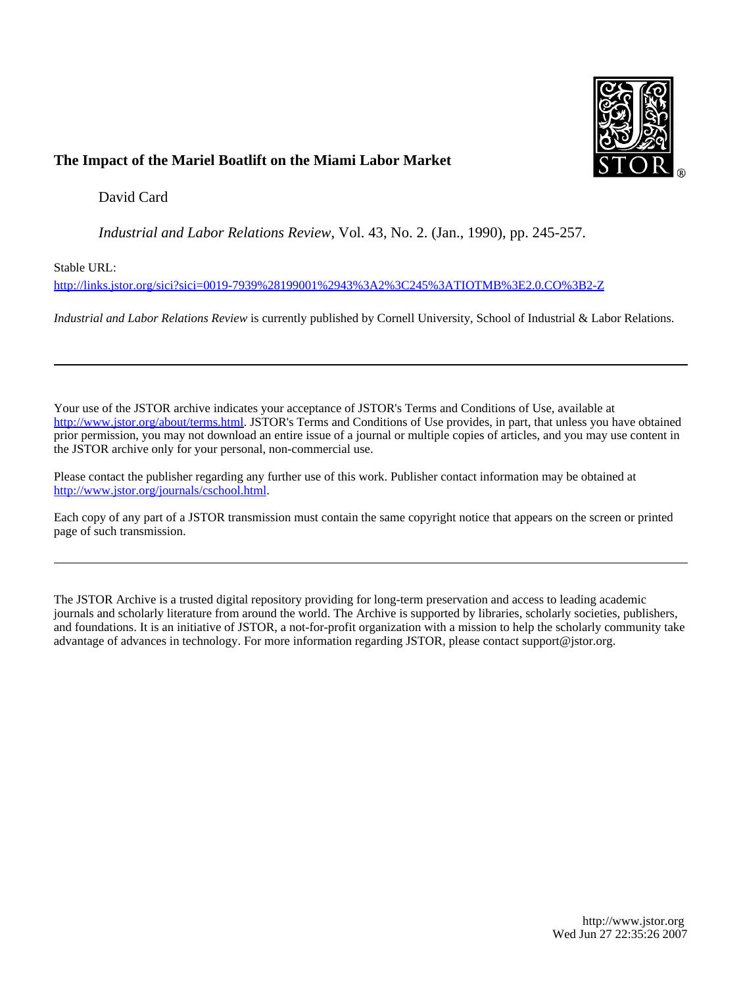

## **The Impact of the Mariel Boatlift on the Miami Labor Market**

David Card

*Industrial and Labor Relations Review*, Vol. 43, No. 2. (Jan., 1990), pp. 245-257.

Stable URL:

<http://links.jstor.org/sici?sici=0019-7939%28199001%2943%3A2%3C245%3ATIOTMB%3E2.0.CO%3B2-Z>

*Industrial and Labor Relations Review* is currently published by Cornell University, School of Industrial & Labor Relations.

Your use of the JSTOR archive indicates your acceptance of JSTOR's Terms and Conditions of Use, available at [http://www.jstor.org/about/terms.html.](http://www.jstor.org/about/terms.html) JSTOR's Terms and Conditions of Use provides, in part, that unless you have obtained prior permission, you may not download an entire issue of a journal or multiple copies of articles, and you may use content in the JSTOR archive only for your personal, non-commercial use.

Please contact the publisher regarding any further use of this work. Publisher contact information may be obtained at <http://www.jstor.org/journals/cschool.html>.

Each copy of any part of a JSTOR transmission must contain the same copyright notice that appears on the screen or printed page of such transmission.

The JSTOR Archive is a trusted digital repository providing for long-term preservation and access to leading academic journals and scholarly literature from around the world. The Archive is supported by libraries, scholarly societies, publishers, and foundations. It is an initiative of JSTOR, a not-for-profit organization with a mission to help the scholarly community take advantage of advances in technology. For more information regarding JSTOR, please contact support@jstor.org.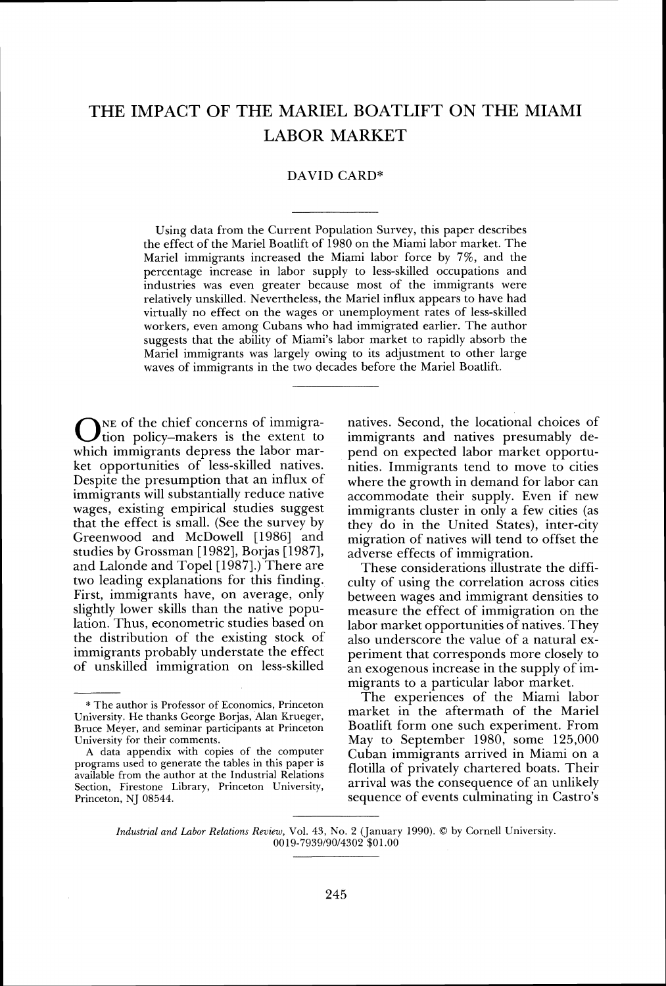# THE IMPACT OF THE MARIEL BOATLIFT ON THE MIAMI LABOR MARKET

### DAVID CARD\*

Using data from the Current Population Survey, this paper describes the effect of the Marie1 Boatlift of 1980 on the Miami labor market. The Marie1 immigrants increased the Miami labor force by *7%,* and the percentage increase in labor supply to less-skilled occupations and industries was even greater because most of the immigrants were relatively unskilled. Nevertheless, the Marie1 influx appears to have had virtually no effect on the wages or unemployment rates of less-skilled workers, even among Cubans who had immigrated earlier. The author suggests that the ability of Miami's labor market to rapidly absorb the Marie1 immigrants was largely owing to its adjustment to other large waves of immigrants in the two decades before the Marie1 Boatlift.

ONE of the chief concerns of immigra-<br>
on the cond, the locational choices of<br>
which immigrants depress the labor mar-<br>
one on expected labor market opportuwhich immigrants depress the labor mar-<br>ket opportunities of less-skilled natives. Inities. Immigrants tend to move to cities ket opportunities of less-skilled natives. nities. Immigrants tend to move to cities<br>Despite the presumption that an influx of where the growth in demand for labor can immigrants will substantially reduce native accommodate their supply. Even if new<br>wages, existing empirical studies suggest immigrants cluster in only a few cities (as wages, existing empirical studies suggest immigrants cluster in only a few cities (as that the effect is small. (See the survey by they do in the United States), inter-city Greenwood and McDowell [1986] and migration of natives will tend to offset the studies by Grossman [1982], Borjas [1987], adverse effects of immigration. and Lalonde and Topel [1987].) There are These considerations illustrate the diffitwo leading explanations for this finding. culty of using the correlation across cities<br>First, immigrants have, on average, only between wages and immigrant densities to First, immigrants have, on average, only between wages and immigrant densities to slightly lower skills than the native popu- measure the effect of immigration on the slightly lower skills than the native popu-<br>lation. Thus, econometric studies based on labor market opportunities of natives. They<br>the distribution of the existing stock of lalso underscore the value of a natural eximmigrants probably understate the effect periment that corresponds more closely to of unskilled immigration on less-skilled an exogenous increase in the supply of im-

tion policy-makers is the extent to immigrants and natives presumably dewhere the growth in demand for labor can they do in the United States), inter-city

> also underscore the value of a natural exan exogenous increase in the supply of immigrants to a particular labor market.

The experiences of the Miami labor<br> *The experiences of the Miami labor*<br> *The experiences of the Mariel*<br> *Coniversity. He thanks George Borjas, Alan Krueger, market in the aftermath of the Mariel*<br> *Boatlift form one s* May to September 1980, some 125,000 Cuban immigrants arrived in Miami on a **Princeton, NJ 08544.** Sequence of events culminating in Castro's

*Industrial and Labor Relations Review, Vol. 43, No. 2 (January 1990).* © by Cornell University. 0019-7939190/4302 \$01 .OO

*Bruce Meyer, and seminar participants at Princeton* **Boatlift form one such experiment. From**<br>University for their comments. May to September 1980, some 125,000

A data appendix with copies of the computer programs used to generate the tables in this paper is *programs used to generate the tables in this paper is* flotilla of privately chartered boats. Their *available from the author at the Industrial Relations*  **Section, Firestone Library, Princeton University, arrival was the consequence of an unlikely sequence of events culminating in Castro's**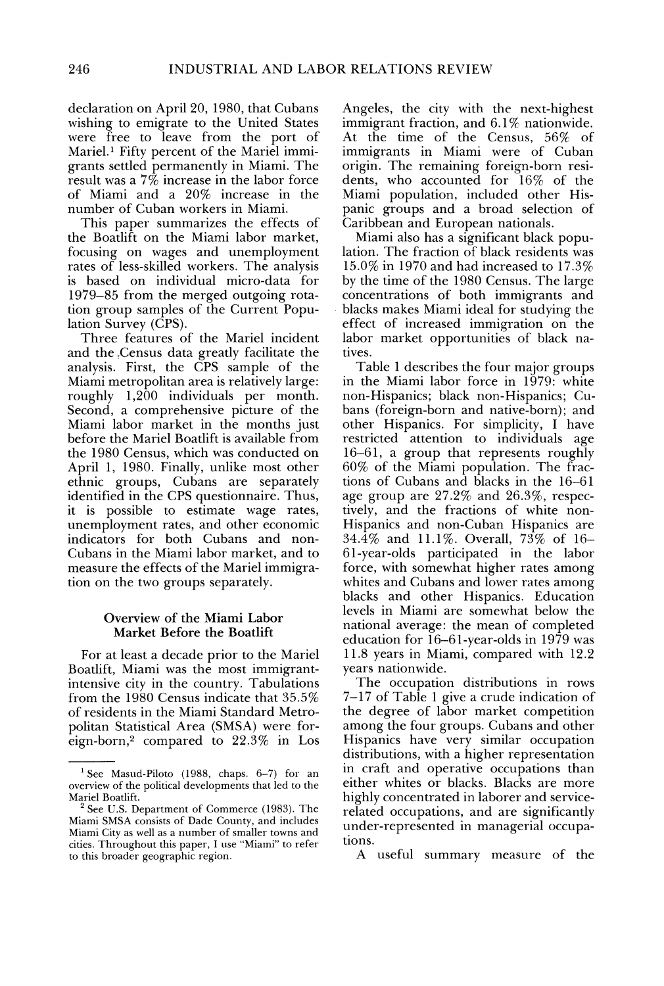declaration on April 20, 1980, that Cubans wishing to emigrate to the United States were free to leave from the port of Mariel.<sup>1</sup> Fifty percent of the Mariel immigrants settled permanently in Miami. The result was a  $7\%$  increase in the labor force of Miami and a 20% increase in the number of Cuban workers in Miami.

This paper summarizes the effects of the Boatlift on the Miami labor market, focusing on wages and unemployment rates of less-skilled workers. The analysis is based on individual micro-data for 1979-85 from the merged outgoing rotation group samples of the Current Population Survey (CPS).

Three features of the Mariel incident and the .Census data greatly facilitate the analysis. First, the CPS sample of the Miami metropolitan area is relatively large: roughly 1,200 individuals per month. Second, a comprehensive picture of the Miami labor market in the months just before the Marie1 Boatlift is available from the 1980 Census, which was conducted on April 1, 1980. Finally, unlike most other ethnic groups, Cubans are separately identified in the CPS questionnaire. Thus, it is possible to estimate wage rates, unemployment rates, and other economic indicators for both Cubans and non-Cubans in the Miami labor market, and to measure the effects of the Mariel immigration on the two groups separately.

#### Overview of the Miami Labor Market Before the Boatlift

For at least a decade prior to the Marie1 Boatlift, Miami was the most immigrantintensive city in the country. Tabulations from the 1980 Census indicate that 35.5% of residents in the Miami Standard Metropolitan Statistical Area (SMSA) were foreign-born,2 compared to 22.3% in Los Angeles, the city with the next-highest immigrant fraction, and  $6.1\%$  nationwide. At the time of the Census, 56% of immigrants in Miami were of Cuban origin. The remaining foreign-born residents, who accounted for 16% of the Miami population, included other Hispanic groups and a broad selection of Caribbean and European nationals.

Miami also has a significant black population. The fraction of black residents was 15.0% in 1970 and had increased to 17.3% by the time of the 1980 Census. The large concentrations of both immigrants and blacks makes Miami ideal for studying the effect of increased immigration on the labor market opportunities of black natives.

Table 1 describes the four major groups in the Miami labor force in 1979: white non-Hispanics; black non-Hispanics; Cubans (foreign-born and native-born); and other Hispanics. For simplicity, I have restricted attention to individuals age  $16-61$ , a group that represents roughly 60% of the Miami population. The fractions of Cubans and blacks in the 16-61 age group are 27.2% and 26.3%, respectively, and the fractions of white non-Hispanics and non-Cuban Hispanics are 34.4% and 11.1%. Overall. 73% of 16- 61-year-olds participated in the labor force, with somewhat higher rates among whites and Cubans and lower rates among blacks and other Hispanics. Education levels in Miami are somewhat below the national average: the mean of completed education for 16-6 1-year-olds in 1979 was 11.8 years in Miami, compared with 12.2 vears nationwide.

The occupation distributions in rows 7-17 of Table 1 give a crude indication of the degree of labor market competition among the four groups. Cubans and other Hispanics have very similar occupation distributions, with a higher representation in craft and operative occupations than either whites or blacks. Blacks are more highly concentrated in laborer and service related occupations, and are significantly under-represented in managerial occupations.

A useful summary measure of the

<sup>&</sup>lt;sup>1</sup> See Masud-Piloto (1988, chaps.  $6-7$ ) for an overview of the political developments that led to the Mariel Boatlift.

See U.S. Department of Commerce (1983). The Miami SMSA consists of Dade County, and includes Miami City as well as a number of smaller towns and cities. Throughout this paper, I use "Miami" to refer to this broader geographic region.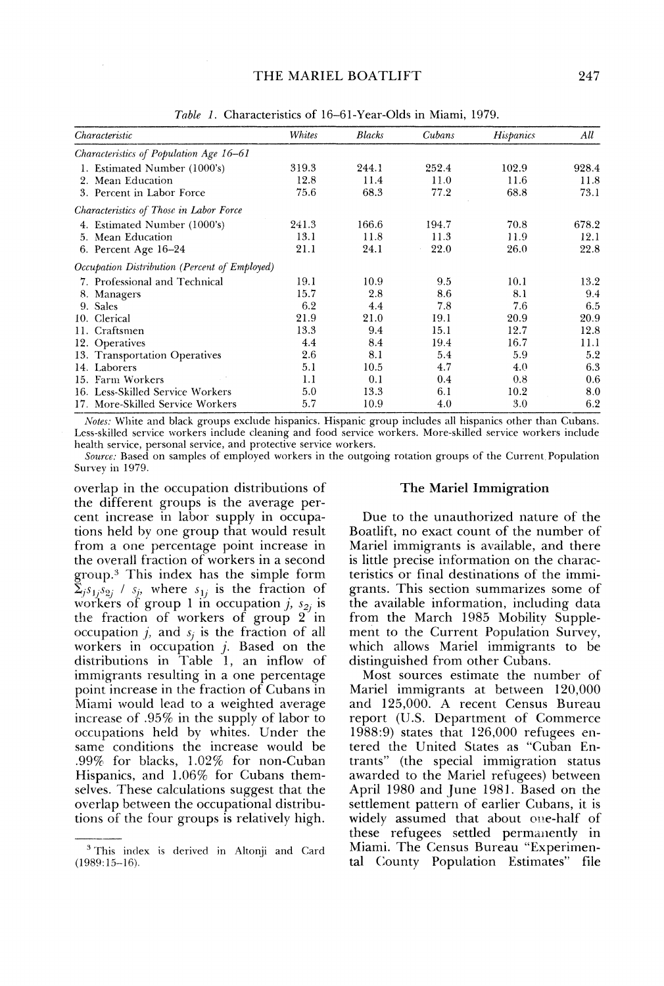| Characteristic                                | Whites | <b>Blacks</b> | Cubans | <b>Hispanics</b> | All   |
|-----------------------------------------------|--------|---------------|--------|------------------|-------|
| Characteristics of Population Age 16-61       |        |               |        |                  |       |
| 1. Estimated Number (1000's)                  | 319.3  | 244.1         | 252.4  | 102.9            | 928.4 |
| 2. Mean Education                             | 12.8   | 11.4          | 11.0   | 11.6             | 11.8  |
| 3. Percent in Labor Force                     | 75.6   | 68.3          | 77.2   | 68.8             | 73.1  |
| Characteristics of Those in Labor Force       |        |               |        |                  |       |
| 4. Estimated Number (1000's)                  | 241.3  | 166.6         | 194.7  | 70.8             | 678.2 |
| 5. Mean Education                             | 13.1   | 11.8          | 11.3   | 11.9             | 12.1  |
| 6. Percent Age 16-24                          | 21.1   | 24.1          | 22.0   | 26.0             | 22.8  |
| Occupation Distribution (Percent of Employed) |        |               |        |                  |       |
| 7. Professional and Technical                 | 19.1   | 10.9          | 9.5    | 10.1             | 13.2  |
| 8. Managers                                   | 15.7   | 2.8           | 8.6    | 8.1              | 9.4   |
| 9. Sales                                      | 6.2    | 4.4           | 7.8    | 7.6              | 6.5   |
| 10. Clerical                                  | 21.9   | 21.0          | 19.1   | 20.9             | 20.9  |
| 11. Craftsmen                                 | 13.3   | 9.4           | 15.1   | 12.7             | 12.8  |
| 12. Operatives                                | 4.4    | 8.4           | 19.4   | 16.7             | 11.1  |
| 13. Transportation Operatives                 | 2.6    | 8.1           | 5.4    | 5.9              | 5.2   |
| 14. Laborers                                  | 5.1    | 10.5          | 4.7    | 4.0              | 6.3   |
| 15. Farm Workers                              | 1.1    | 0.1           | 0.4    | 0.8              | 0.6   |
| 16. Less-Skilled Service Workers              | 5.0    | 13.3          | 6.1    | 10.2             | 8.0   |
| 17. More-Skilled Service Workers              | 5.7    | 10.9          | 4.0    | 3.0              | 6.2   |

Table 1. Characteristics of 16-61-Year-Olds in Miami, 1979.

Notes: White and black groups exclude hispanics. Hispanic group includes all hispanics other than Cubans. Less-skilled service workers include cleaning and food service workers. More-skilled service workers include health service, personal service, and protective service workers.

Source: Based on samples of employed workers in the outgoing rotation groups of the Current Population Survey in 1979.

overlap in the occupation distributions of the different groups is the average percent increase in labor supply in occupations held by one group that would result from a one percentage point increase in the overall fraction of workers in a second group.<sup>3</sup> This index has the simple form  $\Sigma_j s_{1j} s_{2j}$  /  $s_j$ , where  $s_{1j}$  is the fraction of workers of group 1 in occupation j,  $s_{2i}$  is the fraction of workers of group 2 in occupation *j*, and  $s_i$  is the fraction of all workers in occupation  $j$ . Based on the distributions in Table 1, an inflow of immigrants resulting in a one percentage point increase in the fraction of Cubans in Miami would lead to a weighted average increase of .95% in the supply of labor to occupations held by whites. Under the same conditions the increase would be .99% for blacks, 1.02% for non-Cuban Hispanics, and 1.06% for Cubans themselves. These calculations suggest that the overlap between the occupational distributions of the four groups is relatively high.

#### The Mariel Immigration

Due to the unauthorized nature of the Boatlift, no exact count of the number of Mariel immigrants is available, and there is little precise information on the characteristics or final destinations of the immigrants. This section summarizes some of the available information, including data from the March 1985 Mobility Supplement to the Current Population Survey, which allows Mariel immigrants to be distinguished from other Cubans.

Most sources estimate the number of Mariel immigrants at between 120,000 and 125,000. A recent Census Bureau report (U.S. Department of Commerce  $1988:9$  states that  $126,000$  refugees entered the United States as "Cuban Entrants" (the special immigration status awarded to the Mariel refugees) between April 1980 and June 1981. Based on the settlement pattern of earlier Cubans, it is widely assumed that about one-half of these refugees settled permanently in Miami. The Census Bureau "Experimental County Population Estimates" file

<sup>&</sup>lt;sup>3</sup> This index is derived in Altonji and Card  $(1989:15-16).$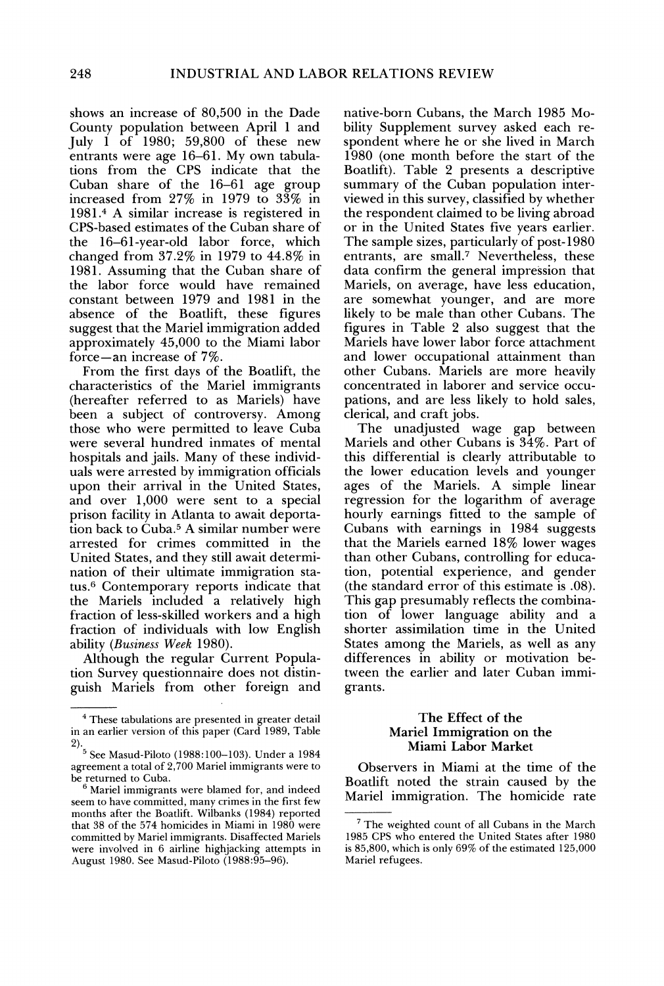shows an increase of 80,500 in the Dade County population between April 1 and July 1 of 1980; 59,800 of these new entrants were age 16-61. My own tabulations from the CPS indicate that the Cuban share of the 16-61 age group increased from 27% in 1979 to 33% in 1981.4A similar increase is registered in CPS-based estimates of the Cuban share of the 16-61-year-old labor force, which changed from 37.2% in 1979 to 44.8% in 1981. Assuming that the Cuban share of the labor force would have remained constant between 1979 and 1981 in the absence of the Boatlift, these figures suggest that the Marie1 immigration added approximately 45,000 to the Miami labor force-an increase of 7%.

From the first days of the Boatlift, the characteristics of the Marie1 immigrants (hereafter referred to as Mariels) have been a subject of controversy. Among those who were permitted to leave Cuba were several hundred inmates of mental hospitals and jails. Many of these individuals were arrested by immigration officials upon their arrival in the United States, and over 1,000 were sent to a special prison facility in Atlanta to await deportation back to Cuba.<sup>5</sup> A similar number were arrested for crimes committed in the United States, and they still await determination of their ultimate immigration status.<sup>6</sup> Contemporary reports indicate that the Mariels included a relatively high fraction of less-skilled workers and a high fraction of individuals with low English ability (Business Week 1980).

Although the regular Current Population Survey questionnaire does not distinguish Mariels from other foreign and native-born Cubans, the March 1985 Mobility Supplement survey asked each respondent where he or she lived in March 1980 (one month before the start of the Boatlift). Table **2** presents a descriptive summary of the Cuban population interviewed in this survey, classified by whether the respondent claimed to be living abroad or in the United States five years earlier. The sample sizes, particularly of post-1980 entrants, are small.<sup>7</sup> Nevertheless, these data confirm the general impression that Mariels, on average, have less education, are somewhat younger, and are more likely to be male than other Cubans. The figures in Table **2** also suggest that the Mariels have lower labor force attachment and lower occupational attainment than other Cubans. Mariels are more heavily concentrated in laborer and service occu pations, and are less likely to hold sales, clerical, and craft jobs.

The unadjusted wage gap between Mariels and other Cubans is 34%. Part of this differential is clearly attributable to the lower education levels and younger ages of the Mariels. A simple linear regression for the logarithm of average hourly earnings fitted to the sample of Cubans with earnings in 1984 suggests that the Mariels earned 18% lower wages than other Cubans, controlling for education, potential experience, and gender (the standard error of this estimate is .08). This gap presumably reflects the combination of lower language ability and a shorter assimilation time in the United States among the Mariels, as well as any differences in ability or motivation be-<br>tween the earlier and later Cuban immigrants.

### The Effect of the Marie1 Immigration on the Miami Labor Market

Observers in Miami at the time of the Boatlift noted the strain caused by the Marie1 immigration. The homicide rate

<sup>&</sup>lt;sup>4</sup> These tabulations are presented in greater detail in an earlier version of this paper (Card 1989, Table

<sup>2).&</sup>lt;br> $5$  See Masud-Piloto (1988:100-103). Under a 1984 agreement a total of 2,700 Marie1 immigrants were to be returned to Cuba.

<sup>&</sup>lt;sup>6</sup> Mariel immigrants were blamed for, and indeed seem to have committed, many crimes in the first few months after the Boatlift. U'ilbanks (1984) reported that 38 of the 574 homicides in Miami in 1980 were committed by Mariel immigrants. Disaffected Mariels were involved in 6 airline highjacking attempts in August 1980. See Masud-Piloto (1988:95-96).

 $7$  The weighted count of all Cubans in the March 1985 CPS who entered the United States after 1980 is 85,800, which is only 69% of the estimated 125,000 Mariel refugees.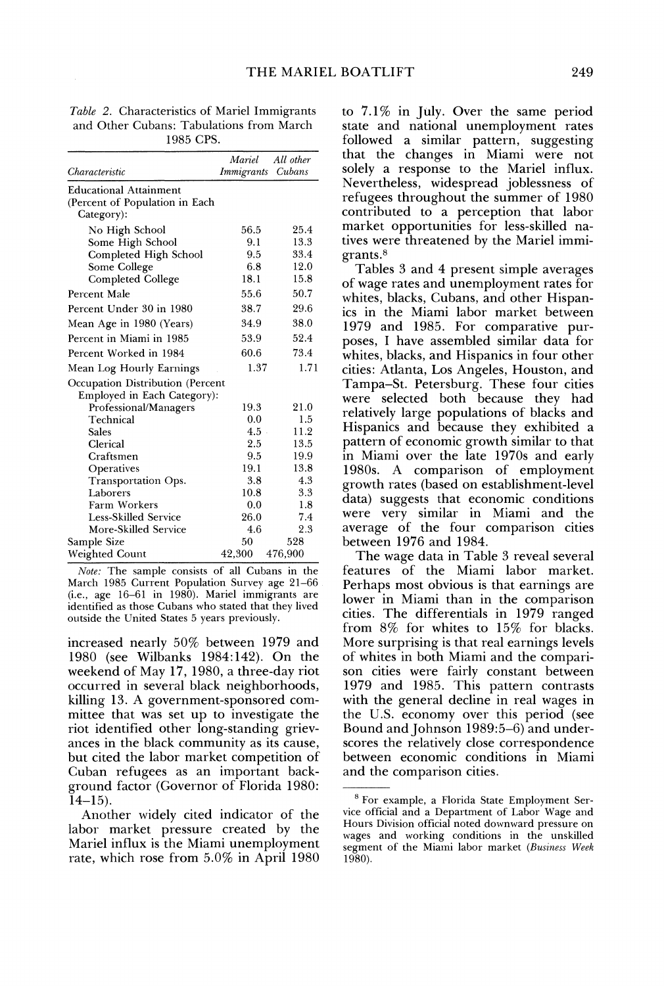| Characteristic                                                                | Mariel All other<br>Immigrants Cubans |             |
|-------------------------------------------------------------------------------|---------------------------------------|-------------|
| <b>Educational Attainment</b><br>(Percent of Population in Each<br>Category): |                                       |             |
|                                                                               |                                       |             |
| No High School                                                                | 56.5                                  | 25.4        |
| Some High School                                                              | 9.1                                   | 13.3        |
| Completed High School                                                         | 9.5                                   | 33.4        |
| Some College                                                                  | 6.8                                   | 12.0        |
| <b>Completed College</b>                                                      | 18.1                                  | 15.8        |
| Percent Male                                                                  | 55.6                                  | 50.7        |
| Percent Under 30 in 1980                                                      | 38.7                                  | 29.6        |
| Mean Age in 1980 (Years)                                                      | 34.9                                  | 38.0        |
| Percent in Miami in 1985                                                      | 53.9                                  | 52.4        |
| Percent Worked in 1984                                                        | 60.6                                  | 73.4        |
| Mean Log Hourly Earnings                                                      | 1.37                                  | 1.71        |
| Occupation Distribution (Percent                                              |                                       |             |
| Employed in Each Category):                                                   |                                       |             |
| Professional/Managers                                                         | 19.3                                  | 21.0        |
| Technical                                                                     | 0.0                                   | 1.5         |
| Sales                                                                         | $4.5$ .                               | 11.2        |
| Clerical                                                                      | 2.5                                   | 13.5        |
| Craftsmen                                                                     | 9.5                                   | 19.9        |
| Operatives                                                                    | 19.1                                  | 13.8        |
| $T$ ronenortation Ope                                                         | 2 Q                                   | $\Lambda$ 2 |

Table 2. Characteristics of Mariel Immigrants and Other Cubans: Tabulations from March 1985 CPS.

Transportatio~~Ops. 3.8 4.3 Laborers Farm Workers 0.0 1.8<br>
Less-Skilled Service 26.0 7.4 Less-Skilled Service 26.0 7.4<br>More-Skilled Service 2.8 2.3 More-Skilled Service Sample Size 50 528<br>Weighted Count 42,300 476,900 Weighted Count

Note: The sample consists of all Cubans in the March 1985 Current Population Survey age 21-66 (i.e., age 16-61 in 1980). Mariel immigrants are identified as those Cubans who stated that they lived outside the United States 5 years previously.

increased nearly 30% between 1979 and 1980 (see Wilbanks 1984:142). On the weekend of May 17, 1980, a three-day riot occurred in several black neighborhoods, killing 13. A government-sponsored committee that was set up to investigate the riot identified other long-standing grievances in the black community as its cause, but cited the labor market competition of Cuban refugees as an important background factor (Governor of Florida 1980:  $14 - 15$ .

Another widely cited indicator of the labor market pressure created by the Marie1 influx is the Miami unemployment rate, which rose from 5.0% in April 1980 to 7.1% in July. Over the same period state and national unemployment rates followed a similar pattern, suggesting that the changes in Miami were not solely a response to the Mariel influx. Nevertheless, widespread joblessness of refugees throughout the summer of 1980 contributed to a perception that labor market opportunities for less-skilled natives were threatened by the Mariel immigrants.<sup>8</sup>

Tables **3** and 4 present simple averages of wage rates and unemployment rates for whites, blacks, Cubans, and other Hispanics in the Miami labor market between 1979 and 1985. For comparative purposes, I have assembled similar data for whites, blacks, and Hispanics in four other cities: Atlanta, Los Angeles, Houston, and Tampa-St. Petersburg. These four cities were selected both because they had relatively large populations of blacks and Hispanics and because they exhibited a pattern of economic growth similar to that in Miami over the late 1970s and early 1980s. A comparison of employment growth rates (based on establishment-level data) suggests that economic conditions were very similar in Miami and the average of the four comparison cities between 1976 and 1984.

The wage data in Table **3** reveal several features of the Miami labor market. Perhaps most obvious is that earnings are lower in Miami than in the comparison cities. The differentials in 1979 ranged from 8% for whites to 15% for blacks. More surprising is that real earnings levels of whites in both Miami and the comparison cities were fairly constant between 1979 and 1983. This pattern contrasts with the general decline in real wages in the U.S. economy over this period (see Round and Johnson 1989:5-6) and underscores the relatively close correspondence between economic conditions in Miami and the comparison cities.

<sup>&</sup>lt;sup>8</sup> For example, a Florida State Employment Service official and a Department of Labor Wage and Hours Division official noted downward pressure on wages and working conditions in the unskilled segment of the Miami labor market (Business Week 1980).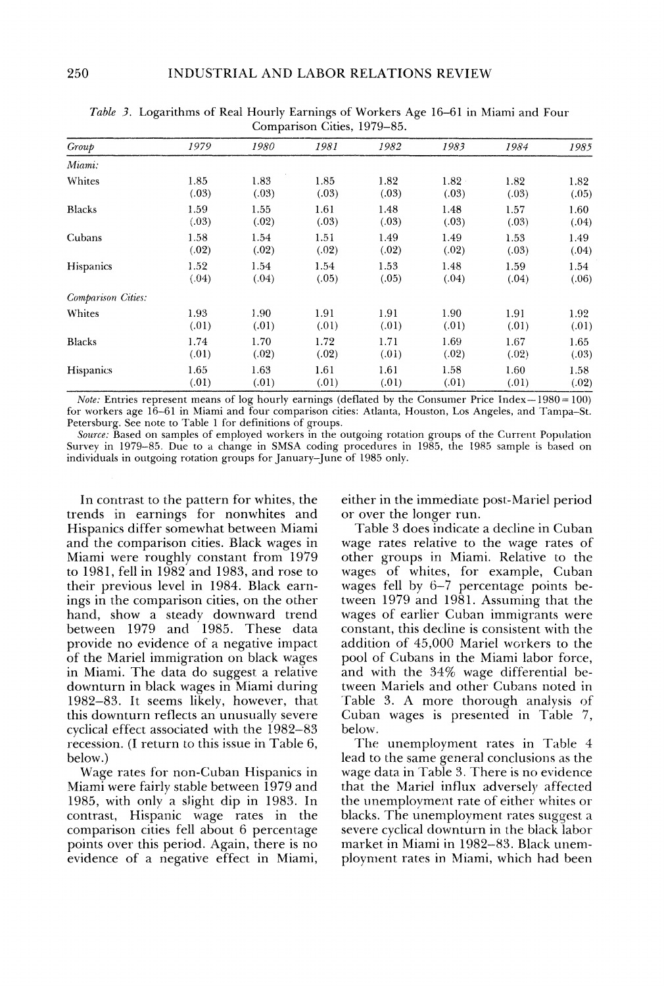|                    |       | л.    |       |       |          |       |       |
|--------------------|-------|-------|-------|-------|----------|-------|-------|
| Group              | 1979  | 1980  | 1981  | 1982  | 1983     | 1984  | 1985  |
| Miami:             |       |       |       |       |          |       |       |
| Whites             | 1.85  | 1.83  | 1.85  | 1.82  | $1.82 -$ | 1.82  | 1.82  |
|                    | (.03) | (.03) | (.03) | (.03) | (.03)    | (.03) | (.05) |
| <b>Blacks</b>      | 1.59  | 1.55  | 1.61  | 1.48  | 1.48     | 1.57  | 1.60  |
|                    | (.03) | (.02) | (.03) | (.03) | (.03)    | (.03) | (.04) |
| Cubans             | 1.58  | 1.54  | 1.51  | 1.49  | 1.49     | 1.53  | 1.49  |
|                    | (.02) | (.02) | (.02) | (.02) | (.02)    | (.03) | (.04) |
| Hispanics          | 1.52  | 1.54  | 1.54  | 1.53  | 1.48     | 1.59  | 1.54  |
|                    | (.04) | (.04) | (.05) | (.05) | (.04)    | (.04) | (.06) |
| Comparison Cities: |       |       |       |       |          |       |       |
| Whites             | 1.93  | 1.90  | 1.91  | 1.91  | 1.90     | 1.91  | 1.92  |
|                    | (.01) | (.01) | (.01) | (.01) | (.01)    | (.01) | (.01) |
| <b>Blacks</b>      | 1.74  | 1.70  | 1.72  | 1.71  | 1.69     | 1.67  | 1.65  |
|                    | (.01) | (.02) | (.02) | (.01) | (.02)    | (.02) | (.03) |
| Hispanics          | 1.65  | 1.63  | 1.61  | 1.61  | 1.58     | 1.60  | 1.58  |
|                    | (.01) | (.01) | (.01) | (.01) | (.01)    | (.01) | (.02) |

Table 3. Logarithms of Real Hourly Earnings of Workers Age 16-61 in Miami and Four Comparison Cities, 1979-85.

*Note:* Entries represent means of log hourly earnings (deflated by the Consumer Price Index-1980=100) for workers age 16-61 in Miami and four comparison cities: Atlanta, Houston, Los Angeles, and Tampa-St. Petersburg. See note to Table 1 for definitions of groups.

Source: Based on samples of employed workers in the outgoing rotation groups of the Current Population Survey in 1979–85. Due to a change in SMSA coding procedures in 1985, the 1985 sample is based on individuals in outgoing rotation groups for January-June of 1985 only.

In contrast to the pattern for whites, the trends in earnings for nonwhites and Hispanics differ somewhat between Miami and the comparison cities. Black wages in Miami were roughly constant from 1979 to 1981, fell in  $1982$  and 1983, and rose to their previous level in 1984. Black earnings in the comparison cities, on the other hand, show a steady downward trend between 1979 and 1985. These data provide no evidence of a negative impact of the Mariel immigration on black wages in Miami. The data do suggest a relative downturn in black wages in Miami during 1982–83. It seems likely, however, that this downturn reflects an unusually severe cyclical effect associated with the 1982–83 recession. (I return to this issue in Table 6, below.)

Wage rates for non-Cuban Hispanics in Miami were fairly stable between 1979 and 1985, with only a slight dip in 1983. In contrast, Hispanic wage rates in the comparison cities fell about 6 percentage points over this period. Again, there is no evidence of a negative effect in Miami, either in the immediate post-Mariel period or over the longer run.

Table 3 does indicate a decline in Cuban wage rates relative to the wage rates of other groups in Miami. Relative to the wages of whites, for example, Cuban wages fell by 6-7 percentage points between 1979 and 1981. Assuming that the wages of earlier Cuban immigrants were constant, this decline is consistent with the addition of 45,000 Mariel workers to the pool of Cubans in the Miami labor force, and with the 34% wage differential between Mariels and other Cubans noted in Table 3. A more thorough analysis of Cuban wages is presented in Table 7, below.

The unemployment rates in Table 4 lead to the same general conclusions as the wage data in Table 3. There is no evidence that the Mariel influx adversely affected the unemployment rate of either whites or blacks. The unemployment rates suggest a severe cyclical downturn in the black labor market in Miami in 1982–83. Black unemployment rates in Miami, which had been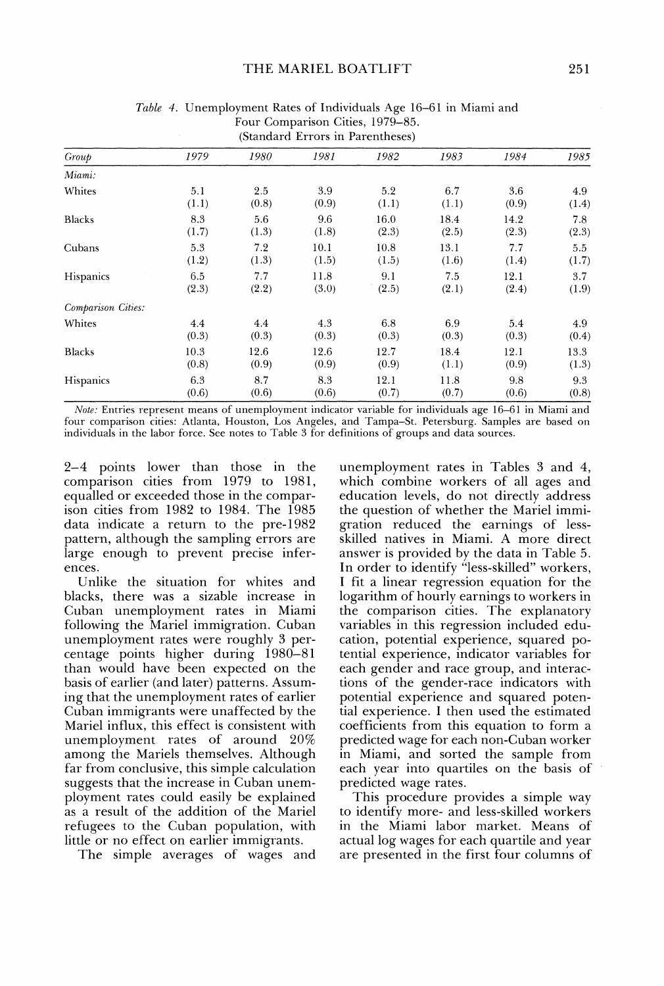|                    | (Standard Errors in Parentheses) |       |       |       |       |       |       |  |
|--------------------|----------------------------------|-------|-------|-------|-------|-------|-------|--|
| Group              | 1979                             | 1980  | 1981  | 1982  | 1983  | 1984  | 1985  |  |
| Miami:             |                                  |       |       |       |       |       |       |  |
| Whites             | 5.1                              | 2.5   | 3.9   | 5.2   | 6.7   | 3.6   | 4.9   |  |
|                    | (1.1)                            | (0.8) | (0.9) | (1.1) | (1.1) | (0.9) | (1.4) |  |
| <b>Blacks</b>      | 8.3                              | 5.6   | 9.6   | 16.0  | 18.4  | 14.2  | 7.8   |  |
|                    | (1.7)                            | (1.3) | (1.8) | (2.3) | (2.5) | (2.3) | (2.3) |  |
| Cubans             | 5.3                              | 7.2   | 10.1  | 10.8  | 13.1  | 7.7   | 5.5   |  |
|                    | (1.2)                            | (1.3) | (1.5) | (1.5) | (1.6) | (1.4) | (1.7) |  |
| Hispanics          | 6.5                              | 7.7   | 11.8  | 9.1   | 7.5   | 12.1  | 3.7   |  |
|                    | (2.3)                            | (2.2) | (3.0) | (2.5) | (2.1) | (2.4) | (1.9) |  |
| Comparison Cities: |                                  |       |       |       |       |       |       |  |
| Whites             | 4.4                              | 4.4   | 4.3   | 6.8   | 6.9   | 5.4   | 4.9   |  |
|                    | (0.3)                            | (0.3) | (0.3) | (0.3) | (0.3) | (0.3) | (0.4) |  |
| <b>Blacks</b>      | 10.3                             | 12.6  | 12.6  | 12.7  | 18.4  | 12.1  | 13.3  |  |
|                    | (0.8)                            | (0.9) | (0.9) | (0.9) | (1.1) | (0.9) | (1.3) |  |
| Hispanics          | 6.3                              | 8.7   | 8.3   | 12.1  | 11.8  | 9.8   | 9.3   |  |
|                    | (0.6)                            | (0.6) | (0.6) | (0.7) | (0.7) | (0.6) | (0.8) |  |

*Table 4.* Unemployment Rates of Individuals Age 16-61 in Miami and Four Comparison Cities, 1979-85.

Note: Entries represent means of unemployment indicator variable for individuals age 16-61 in Miami and four comparison cities: Atlanta, Houston, Los Angeles, and Tampa-St. Petersburg. Samples are based on individuals in the labor force. See notes to Table 3 for definitions of groups and data sources.

2-4 points lower than those in the unemployment rates in Tables **3** and 4, comparison cities from 1979 to 1981, which combine workers of all ages and equalled or exceeded those in the compar- education levels. do not directlv address ison cities from 1982 to 1984. The  $1985$  the question of whether the Mariel immidata indicate a return to the pre-1982 gration reduced the earnings of lesspattern, although the sampling errors are skilled natives in Miami. A more direct large enough to prevent precise infer- answer is provided by the data in Table 5. ences. In order to identify "less-skilled" workers,

Unlike the situation for whites and I fit a linear regression equation for the blacks, there was a sizable increase in logarithm of hourly earnings to workers in Cuban unemployment rates in Miami the comparison cities. The explanatory following the Mariel immigration. Cuban variables in this regression included edufollowing the Mariel immigration. Cuban unemployment rates were roughly **3** per- cation, potential experience, squared pocentage points higher during 1980-81 tential experience, indicator variables for than would have been expected on the each gender and race group, and interacbasis of earlier (and later) patterns. Assum-<br>
ing that the unemployment rates of earlier botential experience and squared poten-Cuban immigrants were unaffected by the tial experience. I then used the estimated Mariel influx, this effect is consistent with coefficients from this equation to form a unemployment rates of around 20% predicted wage for each non-Cuban worker among the Mariels themselves. Although in Miami, and sorted the sample from far from conclusive, this simple calculation each year into quartiles on the basis of far from conclusive, this simple calculation each year into quartiles on the basis of suggests that the increase in Cuban unem- predicted wage rates. ployment rates could easily be explained This procedure provides a simple way as a result of the addition of the Marie1 to identify more- and less-skilled workers refugees to the Cuban population, with in the Miami labor market. Means of

logarithm of hourly earnings to workers in potential experience and squared poten-Mariel influx, this effect is consistent with coefficients from this equation to form a

little or no effect on earlier immigrants. actual log wages for each quartile and year The simple averages of wages and are presented in the first four columns of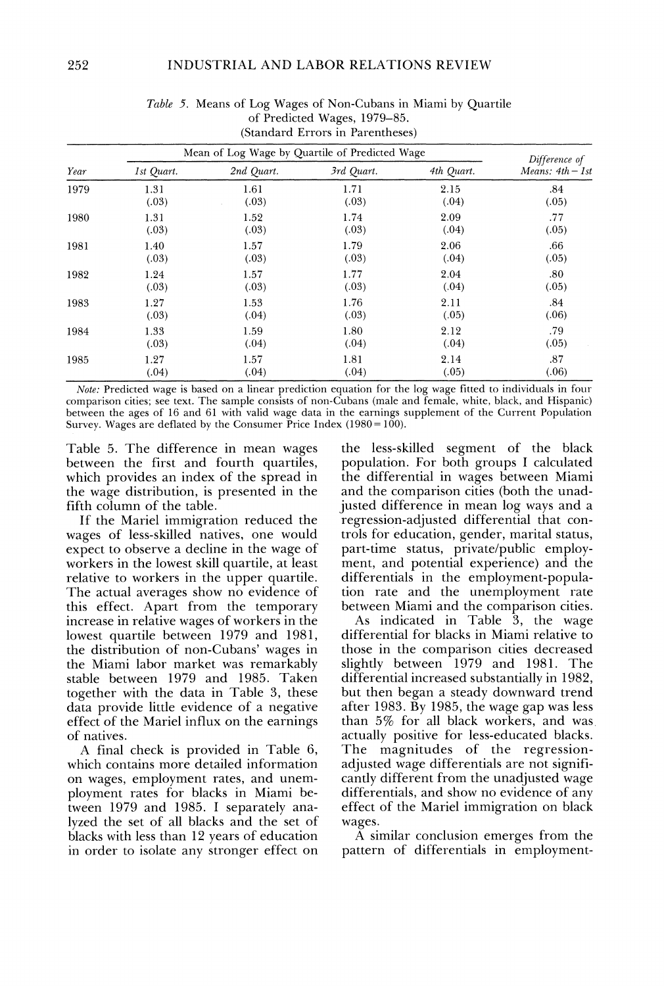|      |            | Mean of Log Wage by Quartile of Predicted Wage |            |            |                                     |  |  |  |  |
|------|------------|------------------------------------------------|------------|------------|-------------------------------------|--|--|--|--|
| Year | 1st Quart. | 2nd Quart.                                     | 3rd Quart. | 4th Quart. | Difference of<br>Means: $4th - 1st$ |  |  |  |  |
| 1979 | 1.31       | 1.61                                           | 1.71       | 2.15       | .84                                 |  |  |  |  |
|      | (.03)      | (.03)                                          | (.03)      | (.04)      | (.05)                               |  |  |  |  |
| 1980 | 1.31       | 1.52                                           | 1.74       | 2.09       | .77                                 |  |  |  |  |
|      | (.03)      | (.03)                                          | (.03)      | (.04)      | (.05)                               |  |  |  |  |
| 1981 | 1.40       | 1.57                                           | 1.79       | 2.06       | .66                                 |  |  |  |  |
|      | (.03)      | (.03)                                          | (.03)      | (.04)      | (.05)                               |  |  |  |  |
| 1982 | 1.24       | 1.57                                           | 1.77       | 2.04       | .80                                 |  |  |  |  |
|      | (.03)      | (.03)                                          | (.03)      | (.04)      | (.05)                               |  |  |  |  |
| 1983 | 1.27       | 1.53                                           | 1.76       | 2.11       | .84                                 |  |  |  |  |
|      | (.03)      | (.04)                                          | (.03)      | (.05)      | (.06)                               |  |  |  |  |
| 1984 | 1.33       | 1.59                                           | 1.80       | 2.12       | .79                                 |  |  |  |  |
|      | (.03)      | (.04)                                          | (.04)      | (.04)      | (.05)                               |  |  |  |  |
| 1985 | 1.27       | 1.57                                           | 1.81       | 2.14       | .87                                 |  |  |  |  |
|      | (.04)      | (.04)                                          | (.04)      | (.05)      | (.06)                               |  |  |  |  |

Table 5. Means of Log Wages of Non-Cubans in Miami by Quartile of Predicted Wages, 1979-85. (Standard Errors in Parentheses)

Note: Predicted wage is based on a linear prediction equation for the log wage fitted to individuals in four comparison cities; see text. The sample consists of non-Cubans (male and female, white, black, and Hispanic) between the ages of 16 and 61 with valid wage data in the earnings supplement of the Current Population Survey. Wages are deflated by the Consumer Price Index (1980 =  $100$ ).

Table 5. The difference in mean wages between the first and fourth quartiles, which provides an index of the spread in the wage distribution, is presented in the fifth column of the table.

If the Mariel immigration reduced the wages of less-skilled natives, one would expect to observe a decline in the wage of workers in the lowest skill quartile, at least relative to workers in the upper quartile. The actual averages show no evidence of this effect. Apart from the temporary increase in relative wages of workers in the lowest quartile between 1979 and 1981, the distribution of non-Cubans' wages in the Miami labor market was remarkably stable between 1979 and 1985. Taken together with the data in Table 3, these data provide little evidence of a negative effect of the Mariel influx on the earnings of natives.

A final check is provided in Table 6, which contains more detailed information on wages, employment rates, and unemployment rates for blacks in Miami between 1979 and 1985. I separately analyzed the set of all blacks and the set of blacks with less than 12 years of education in order to isolate any stronger effect on

the less-skilled segment of the black population. For both groups I calculated the differential in wages between Miami and the comparison cities (both the unadjusted difference in mean log ways and a regression-adjusted differential that controls for education, gender, marital status, part-time status, private/public employment, and potential experience) and the differentials in the employment-population rate and the unemployment rate between Miami and the comparison cities.

As indicated in Table 3, the wage differential for blacks in Miami relative to those in the comparison cities decreased slightly between 1979 and 1981. The differential increased substantially in 1982, but then began a steady downward trend after 1983. By 1985, the wage gap was less than 5% for all black workers, and was actually positive for less-educated blacks. The magnitudes of the regressionadjusted wage differentials are not significantly different from the unadjusted wage differentials, and show no evidence of any effect of the Mariel immigration on black wages.

A similar conclusion emerges from the pattern of differentials in employment-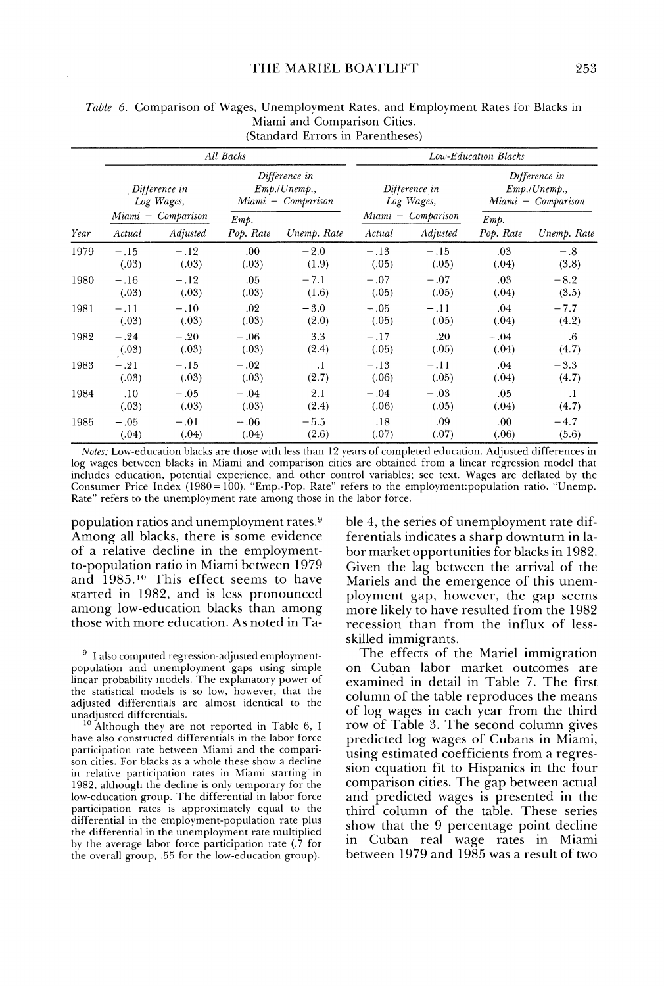#### THE MARIEL BOATLIFT

|      |                                                   |          |                                                     | (Standard Errors in Parentheses) |                             |          |                                                    |             |  |
|------|---------------------------------------------------|----------|-----------------------------------------------------|----------------------------------|-----------------------------|----------|----------------------------------------------------|-------------|--|
|      |                                                   |          | All Backs                                           |                                  | Low-Education Blacks        |          |                                                    |             |  |
|      | Difference in<br>Log Wages,<br>Miami - Comparison |          | Difference in<br>Emb.IUnemp.,<br>Miami - Comparison |                                  | Difference in<br>Log Wages, |          | Difference in<br>Emb.IUnemp.<br>Miami - Comparison |             |  |
|      |                                                   |          | $Emp. -$                                            |                                  | Miami - Comparison          |          | $Emp. -$                                           |             |  |
| Year | Actual                                            | Adjusted | Pop. Rate                                           | Unemp. Rate                      | Actual                      | Adjusted | Pop. Rate                                          | Unemp. Rate |  |
| 1979 | $-.15$                                            | $-.12$   | .00                                                 | $-2.0$                           | $-.13$                      | $-.15$   | .03                                                | $-.8$       |  |
|      | (.03)                                             | (.03)    | (.03)                                               | (1.9)                            | (.05)                       | (.05)    | (.04)                                              | (3.8)       |  |
| 1980 | $-.16$                                            | $-.12$   | .05                                                 | $-7.1$                           | $-.07$                      | $-.07$   | .03                                                | $-8.2$      |  |
|      | (.03)                                             | (.03)    | (.03)                                               | (1.6)                            | (.05)                       | (.05)    | (.04)                                              | (3.5)       |  |
| 1981 | $-.11$                                            | $-.10$   | .02                                                 | $-3.0$                           | $-.05$                      | $-.11$   | .04                                                | $-7.7$      |  |
|      | (.03)                                             | (.03)    | (.03)                                               | (2.0)                            | (.05)                       | (.05)    | (.04)                                              | (4.2)       |  |
| 1982 | $-.24$                                            | $-.20$   | $-.06$                                              | 3.3                              | $-.17$                      | $-.20$   | $-.04$                                             | .6          |  |
|      | (0.03)                                            | (.03)    | (.03)                                               | (2.4)                            | (.05)                       | (.05)    | (.04)                                              | (4.7)       |  |
| 1983 | $-.21$                                            | $-.15$   | $-.02$                                              | $\cdot$                          | $-.13$                      | $-.11$   | .04                                                | $-3.3$      |  |
|      | (.03)                                             | (.03)    | (.03)                                               | (2.7)                            | (.06)                       | (.05)    | (.04)                                              | (4.7)       |  |
| 1984 | $-.10$                                            | $-.05$   | $-.04$                                              | 2.1                              | $-.04$                      | $-.03$   | .05                                                | $\cdot$ 1   |  |
|      | (.03)                                             | (.03)    | (.03)                                               | (2.4)                            | (.06)                       | (.05)    | (.04)                                              | (4.7)       |  |
| 1985 | $-.05$                                            | $-.01$   | $-.06$                                              | $-5.5$                           | .18                         | .09      | .00.                                               | $-4.7$      |  |
|      | (.04)                                             | (.04)    | (.04)                                               | (2.6)                            | (.07)                       | (.07)    | (.06)                                              | (5.6)       |  |

## Table 6. Comparison of Wages, Unemployment Rates, and Employment Rates for Blacks in Miami and Comparison Cities.

Notes: Low-education blacks are those with less than 12 years of completed education. Adjusted differences in log wages between blacks in Miami and comparison cities are obtained from a linear regression model that includes education, potential experience, and other control variables; see text. Wages are deflated by the Consumer Price Index (1980 = 100). "Emp.-Pop. Rate" refers to the employment:population ratio. "Unemp. Rate" refers to the unemployment rate among those in the labor force.

population ratios and unemployment rates.<sup>9</sup> Among all blacks, there is some evidence of a relative decline in the employmentto-population ratio in Miami between 1979 and 1985.<sup>10</sup> This effect seems to have started in 1982, and is less pronounced among low-education blacks than among those with more education. As noted in Table 4, the series of unemployment rate differentials indicates a sharp downturn in labor market opportunities for blacks in 1982. Given the lag between the arrival of the Mariels and the emergence of this unemployment gap, however, the gap seems more likely to have resulted from the 1982 recession than from the influx of lessskilled immigrants.

The effects of the Mariel immigration on Cuban labor market outcomes are examined in detail in Table 7. The first column of the table reproduces the means of log wages in each year from the third row of Table 3. The second column gives predicted log wages of Cubans in Miami, using estimated coefficients from a regression equation fit to Hispanics in the four comparison cities. The gap between actual and predicted wages is presented in the third column of the table. These series show that the 9 percentage point decline in Cuban real wage rates in Miami between 1979 and 1985 was a result of two

<sup>&</sup>lt;sup>9</sup> I also computed regression-adjusted employmentpopulation and unemployment gaps using simple linear probability models. The explanatory power of the statistical models is so low, however, that the adjusted differentials are almost identical to the unadjusted differentials.

 $10$  Although they are not reported in Table 6, I have also constructed differentials in the labor force participation rate between Miami and the comparison cities. For blacks as a whole these show a decline in relative participation rates in Miami starting in 1982, although the decline is only temporary for the low-education group. The differential in labor force participation rates is approximately equal to the differential in the employment-population rate plus the differential in the unemployment rate multiplied by the average labor force participation rate (.7 for the overall group, .55 for the low-education group).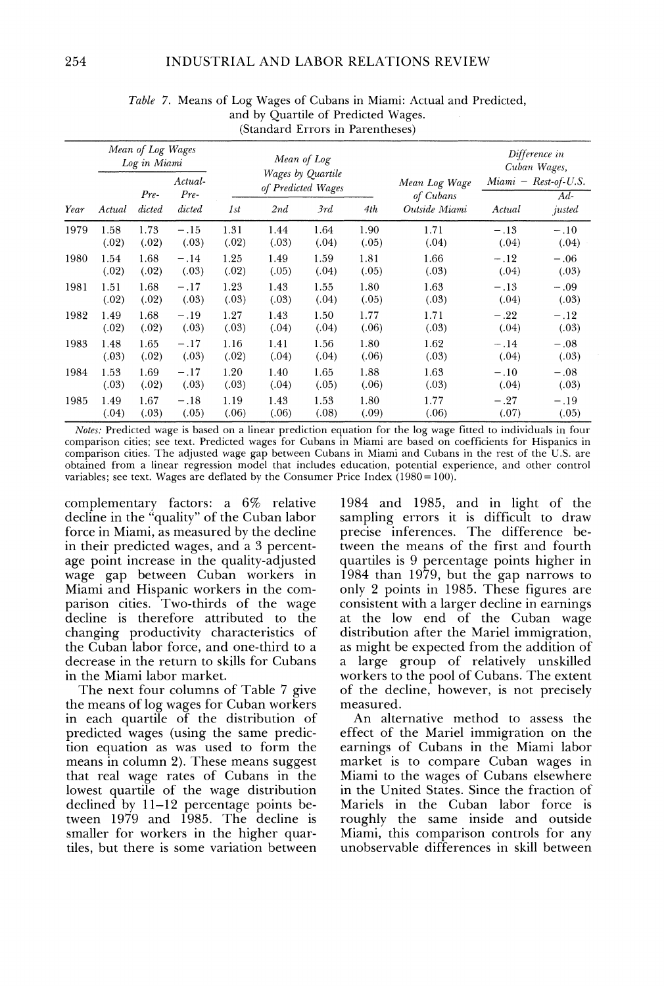| Year | Mean of Log Wages<br>Log in Miami |        |                 |                                         | Mean of Log |       |       |                            | Difference in<br>Cuban Wages, |                 |
|------|-----------------------------------|--------|-----------------|-----------------------------------------|-------------|-------|-------|----------------------------|-------------------------------|-----------------|
|      |                                   | Pre-   | Actual-<br>Pre- | Wages by Quartile<br>of Predicted Wages |             |       |       | Mean Log Wage              | $Miami - Rest-of-U.S.$        |                 |
|      | Actual                            | dicted | dicted          | 1st                                     | 2nd         | 3rd   | 4th   | of Cubans<br>Outside Miami | Actual                        | $Ad-$<br>justed |
| 1979 | 1.58                              | 1.73   | $-.15$          | 1.31                                    | 1.44        | 1.64  | 1.90  | 1.71                       | $-.13$                        | $-.10$          |
|      | (.02)                             | (.02)  | (.03)           | (.02)                                   | (.03)       | (.04) | (.05) | (.04)                      | (.04)                         | (.04)           |
| 1980 | 1.54                              | 1.68   | $-.14$          | 1.25                                    | 1.49        | 1.59  | 1.81  | 1.66                       | $-.12$                        | $-.06$          |
|      | (.02)                             | (.02)  | (.03)           | (.02)                                   | (.05)       | (.04) | (.05) | (.03)                      | (.04)                         | (.03)           |
| 1981 | 1.51                              | 1.68   | $-.17$          | 1.23                                    | 1.43        | 1.55  | 1.80  | 1.63                       | $-.13$                        | $-.09$          |
|      | (.02)                             | (.02)  | (.03)           | (.03)                                   | (.03)       | (.04) | (.05) | (.03)                      | (.04)                         | (.03)           |
| 1982 | 1.49                              | 1.68   | $-.19$          | 1.27                                    | 1.43        | 1.50  | 1.77  | 1.71                       | $-.22$                        | $-.12$          |
|      | (.02)                             | (.02)  | (.03)           | (.03)                                   | (.04)       | (.04) | (.06) | (.03)                      | (.04)                         | (.03)           |
| 1983 | 1.48                              | 1.65   | $-.17$          | 1.16                                    | 1.41        | 1.56  | 1.80  | 1.62                       | $-.14$                        | $-.08$          |
|      | (.03)                             | (.02)  | (.03)           | (.02)                                   | (.04)       | (.04) | (.06) | (.03)                      | (.04)                         | (.03)           |
| 1984 | 1.53                              | 1.69   | $-.17$          | 1.20                                    | 1.40        | 1.65  | 1.88  | 1.63                       | $-.10$                        | $-.08$          |
|      | (.03)                             | (.02)  | (.03)           | (.03)                                   | (.04)       | (.05) | (.06) | (.03)                      | (.04)                         | (.03)           |
| 1985 | 1.49                              | 1.67   | $-.18$          | 1.19                                    | 1.43        | 1.53  | 1.80  | 1.77                       | $-.27$                        | $-.19$          |
|      | (.04)                             | (.03)  | (.05)           | (.06)                                   | (.06)       | (.08) | (.09) | (.06)                      | (.07)                         | (.05)           |

Table 7. Means of Log Wages of Cubans in Miami: Actual and Predicted, and by Ouartile of Predicted Wages. (Standard Errors in Parentheses)

Notes: Predicted wage is based on a linear prediction equation for the log wage fitted to individuals in four comparison cities; see text. Predicted wages for Cubans in Miami are based on coefficients for Hispanics in comparison cities. The adjusted wage gap between Cubans in Miami and Cubans in the rest of the U.S. are obtained from a linear regression model that includes education, potential experience, and other control variables; see text. Wages are deflated by the Consumer Price Index  $(1980 = 100)$ .

complementary factors: a 6% relative decline in the "quality" of the Cuban labor force in Miami, as measured by the decline in their predicted wages, and a 3 percentage point increase in the quality-adjusted wage gap between Cuban workers in Miami and Hispanic workers in the comparison cities. Two-thirds of the wage decline is therefore attributed to the changing productivity characteristics of the Cuban labor force, and one-third to a decrease in the return to skills for Cubans in the Miami labor market.

The next four columns of Table 7 give the means of log wages for Cuban workers in each quartile of the distribution of predicted wages (using the same prediction equation as was used to form the means in column 2). These means suggest that real wage rates of Cubans in the lowest quartile of the wage distribution declined by 11–12 percentage points between 1979 and 1985. The decline is smaller for workers in the higher quartiles, but there is some variation between

1984 and 1985, and in light of the sampling errors it is difficult to draw precise inferences. The difference between the means of the first and fourth quartiles is 9 percentage points higher in 1984 than 1979, but the gap narrows to only 2 points in 1985. These figures are consistent with a larger decline in earnings at the low end of the Cuban wage distribution after the Mariel immigration, as might be expected from the addition of large group of relatively unskilled a workers to the pool of Cubans. The extent of the decline, however, is not precisely measured.

An alternative method to assess the effect of the Mariel immigration on the earnings of Cubans in the Miami labor market is to compare Cuban wages in Miami to the wages of Cubans elsewhere in the United States. Since the fraction of Mariels in the Cuban labor force is roughly the same inside and outside Miami, this comparison controls for any unobservable differences in skill between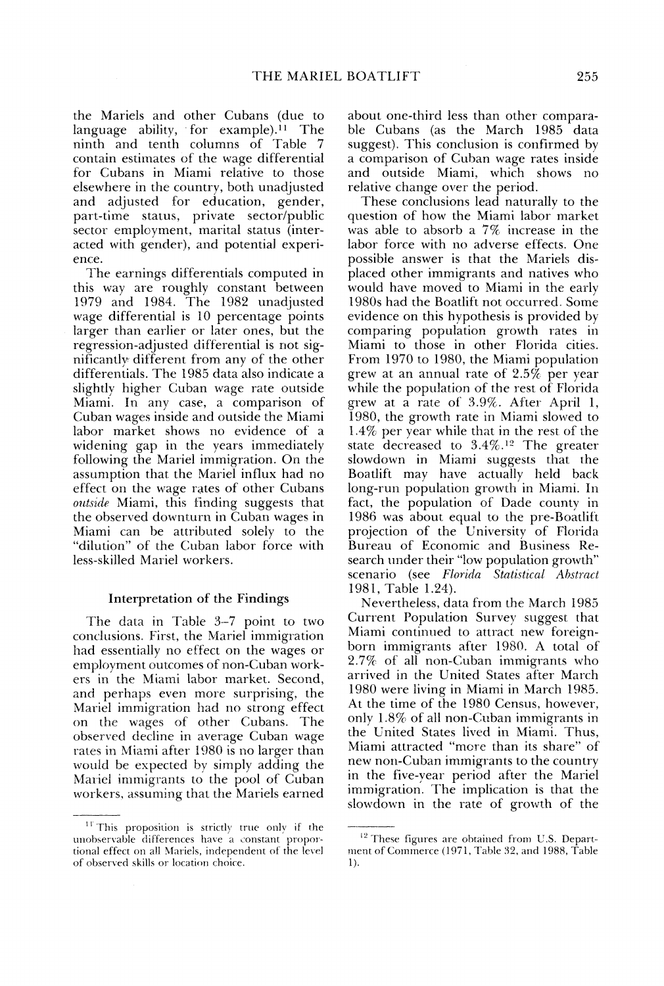the Mariels and other Cubans (due to language ability, for example).<sup>11</sup> The ninth and tenth columns of Table 7 contain estimates of the wage differential for Cubans in Miami relative to those elsewhere in the country, both unadiusted and adjusted for education, gender, part-time status, private sector/public sector employment, marital status (interacted with gender), and potential experience.

The earnings differentials computed in this way are roughly constant between 1979 and 1984. The 1982 unadjusted wage differential is 10 percentage points larger than earlier or later ones, but the regression-adjusted differential is not significantly different from any of the other differentials. The 1985 data also indicate a slightly higher Cuban wage rate outside Miami. In any case, a comparison of Cuban wages inside and outside the Miami labor market shows no evidence of a widening gap in the years immediately following the Mariel immigration. On the assumption that the Mariel influx had no effect on the wage rates of other Cubans *outside* Miami, this finding suggests that the observed downturn in Cuban wages in Miami can be attributed solely to the "dilution" of the Cuban labor force with less-skilled Mariel workers.

#### Interpretation of the Findings

The data in Table 3-7 point to two conclusions. First, the Mariel immigration had essentially no effect on the wages or employment outcomes of non-Cuban workers in the Miami labor market. Second, and perhaps even more surprising, the Mariel immigration had no strong effect on the wages of other Cubans. The observed decline in average Cuban wage rates in Miami after 1980 is no larger than would be expected by simply adding the Mariel immigrants to the pool of Cuban workers, assuming that the Mariels earned about one-third less than other comparable Cubans (as the March 1985 data suggest). This conclusion is confirmed by a comparison of Cuban wage rates inside and outside Miami, which shows no relative change over the period.

These conclusions lead naturally to the question of how the Miami labor market was able to absorb a  $7\%$  increase in the labor force with no adverse effects. One possible answer is that the Mariels displaced other immigrants and natives who would have moved to Miami in the early 1980s had the Boatlift not occurred. Some evidence on this hypothesis is provided by comparing population growth rates in Miami to those in other Florida cities. From 1970 to 1980, the Miami population grew at an annual rate of  $2.5\%$  per year while the population of the rest of Florida grew at a rate of 3.9%. After April 1, 1980, the growth rate in Miami slowed to  $1.4\%$  per year while that in the rest of the state decreased to  $3.4\%$ .<sup>12</sup> The greater slowdown in Miami suggests that the Boatlift may have actually held back long-run population growth in Miami. In fact, the population of Dade county in 1986 was about equal to the pre-Boatlift projection of the University of Florida Bureau of Economic and Business Research under their "low population growth" scenario (see Florida Statistical Abstract 1981. Table 1.24).

Nevertheless, data from the March 1985 Current Population Survey suggest that Miami continued to attract new foreignborn immigrants after 1980. A total of 2.7% of all non-Cuban immigrants who arrived in the United States after March 1980 were living in Miami in March 1985. At the time of the 1980 Census, however, only 1.8% of all non-Cuban immigrants in the United States lived in Miami. Thus, Miami attracted "more than its share" of new non-Cuban immigrants to the country in the five-year period after the Mariel immigration. The implication is that the slowdown in the rate of growth of the

<sup>&</sup>lt;sup>11</sup> This proposition is strictly true only if the unobservable differences have a constant proportional effect on all Mariels, independent of the level of observed skills or location choice.

<sup>&</sup>lt;sup>12</sup> These figures are obtained from U.S. Department of Commerce (1971, Table 32, and 1988, Table  $1$ ).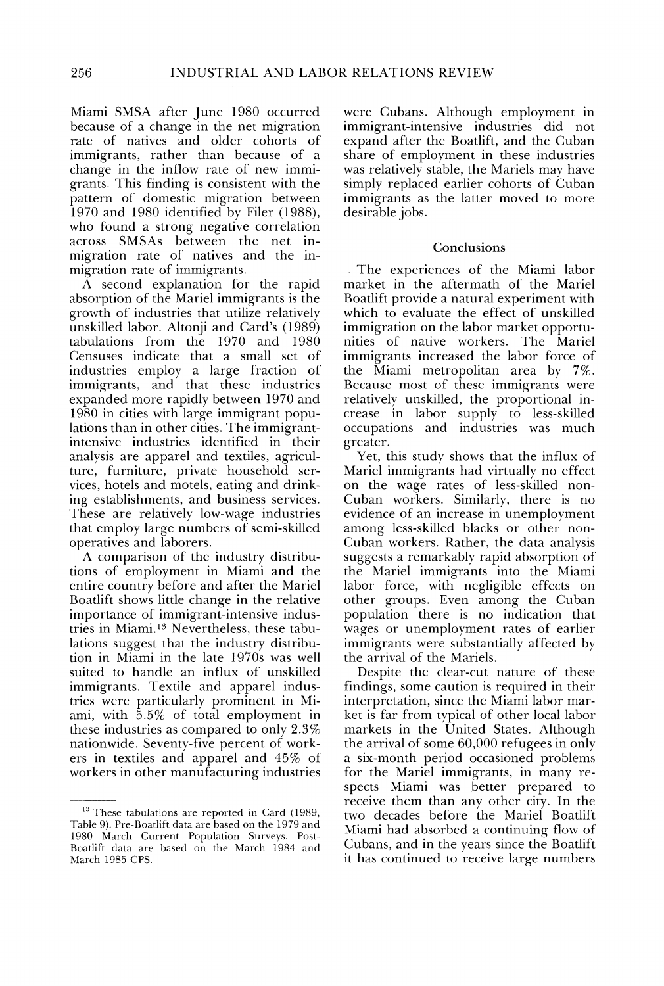Miami SMSA after June 1980 occurred because of a change in the net migration rate of natives and older cohorts of immigrants, rather than because of a change in the inflow rate of new immigrants. This finding is consistent with the pattern of domestic migration between 1970 and 1980 identified by Filer (1988), who found a strong negative correlation across SMSAs between the net inmigration rate of natives and the inmigration rate of immigrants.

A second explanation for the rapid absorption of the Marie1 immigrants is the growth of industries that utilize relatively unskilled labor. Altonji and Card's (1989) tabulations from the 1970 and 1980 Censuses indicate that a small set of industries employ a large fraction of immigrants, and that these industries expanded more rapidly between 1970 and 1980 in cities with large immigrant populations than in other cities. The immigrantintensive industries identified in their analysis are apparel and textiles, agriculture, furniture, private household services, hotels and motels, eating and drinking establishments, and business services. These are relatively low-wage industries that employ large numbers of semi-skilled operatives and laborers.

A comparison of the industry distributions of employment in Miami and the entire country before and after the Mariel Boatlift shows little change in the relative importance of immigrant-intensive industries in Miami.]? Nevertheless, these tabulations suggest that the industry distribution in Miami in the late 1970s was well suited to handle an influx of unskilled immigrants. Textile and apparel industries were particularly prominent in Miami, with 5.5% of total employment in these industries as compared to only  $2.3\%$ nationwide. Seventy-five percent of workers in textiles and apparel and 45% of workers in other manufacturing industries

were Cubans. Although employment in immigrant-intensive industries did not expand after the Boatlift, and the Cuban share of employment in these industries was relatively stable, the Mariels may have simply replaced earlier cohorts of Cuban immigrants as the latter moved to more desirable jobs.

#### Conclusions

The experiences of the Miami labor market in the aftermath of the Mariel Boatlift provide a natural experiment with which to evaluate the effect of unskilled immigration on the labor market opportunities of native workers. The Mariel immigrants increased the labor force of the Miami metropolitan area by *7%.*  Because most of these immigrants were relatively unskilled, the proportional increase in labor supply to less-skilled occupations and industries was much greater.

Yet, this study shows that the influx of Mariel immigrants had virtually no effect on the wage rates of less-skilled non-Cuban workers. Similarly, there is no evidence of an increase in unemployment among less-skilled blacks or other non-Cuban workers. Rather, the data analysis suggests a remarkably rapid absorption of the Mariel immigrants into the Miami labor force, with negligible effects on other groups. Even among the Cuban population there is no indication that wages or unemployment rates of earlier immigrants were substantially affected by the arrival of the Mariels.

Despite the clear-cut nature of these findings, some caution is required in their interpretation, since the Miami labor market is far from typical of other local labor markets in the United States. Although the arrival of some 60,000 refugees in only a six-month period occasioned problems for the Mariel immigrants, in many respects Miami was better prepared to receive them than any other city. In the two decades before the Mariel Boatlift Miami had absorbed a continuing flow of Cubans, and in the years since the Boatlift it has continued to receive large numbers

 $13$  These tabulations are reported in Card (1989, Table 9). Pre-Boatlift data are based on the 1979 and 1980 March Current Population Surveys. Post-Boatlift data are based on the March 1984 and March 1985 CPS.